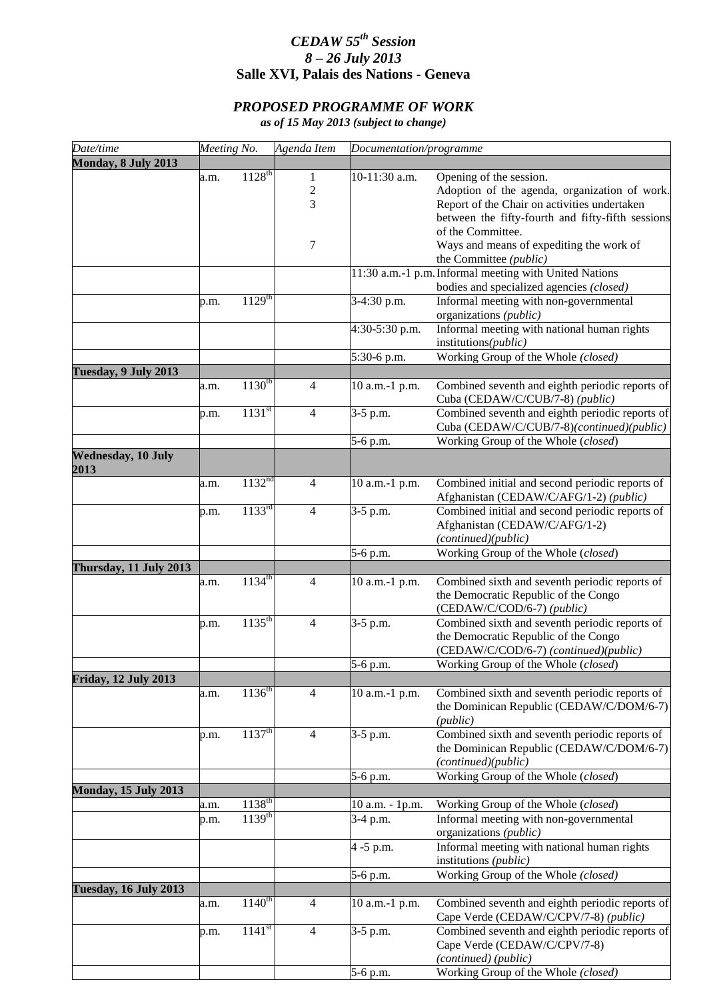## *CEDAW 55th Session 8 – 26 July 2013* **Salle XVI, Palais des Nations - Geneva**

## *PROPOSED PROGRAMME OF WORK*

*as of 15 May 2013 (subject to change)*

| Date/time                    | Meeting No. |                                 | Agenda Item    |                 | Documentation/programme                                |  |
|------------------------------|-------------|---------------------------------|----------------|-----------------|--------------------------------------------------------|--|
| Monday, 8 July 2013          |             |                                 |                |                 |                                                        |  |
|                              | a.m.        | $1128^{th}$                     | 1              | 10-11:30 a.m.   | Opening of the session.                                |  |
|                              |             |                                 | $\sqrt{2}$     |                 | Adoption of the agenda, organization of work.          |  |
|                              |             |                                 | 3              |                 | Report of the Chair on activities undertaken           |  |
|                              |             |                                 |                |                 | between the fifty-fourth and fifty-fifth sessions      |  |
|                              |             |                                 |                |                 |                                                        |  |
|                              |             |                                 |                |                 | of the Committee.                                      |  |
|                              |             |                                 | 7              |                 | Ways and means of expediting the work of               |  |
|                              |             |                                 |                |                 | the Committee (public)                                 |  |
|                              |             |                                 |                |                 | 11:30 a.m.-1 p.m. Informal meeting with United Nations |  |
|                              |             |                                 |                |                 | bodies and specialized agencies (closed)               |  |
|                              | p.m.        | $1129^{th}$                     |                | 3-4:30 p.m.     | Informal meeting with non-governmental                 |  |
|                              |             |                                 |                |                 | organizations (public)                                 |  |
|                              |             |                                 |                | 4:30-5:30 p.m.  | Informal meeting with national human rights            |  |
|                              |             |                                 |                |                 |                                                        |  |
|                              |             |                                 |                |                 | institutions(public)                                   |  |
|                              |             |                                 |                | 5:30-6 p.m.     | Working Group of the Whole (closed)                    |  |
| Tuesday, 9 July 2013         |             |                                 |                |                 |                                                        |  |
|                              | a.m.        | $1130^{th}$                     | $\overline{4}$ | 10 a.m.-1 p.m.  | Combined seventh and eighth periodic reports of        |  |
|                              |             |                                 |                |                 | Cuba (CEDAW/C/CUB/7-8) (public)                        |  |
|                              | p.m.        | $1131^{st}$                     | $\overline{4}$ | 3-5 p.m.        | Combined seventh and eighth periodic reports of        |  |
|                              |             |                                 |                |                 | Cuba (CEDAW/C/CUB/7-8)(continued)(public)              |  |
|                              |             |                                 |                | 5-6 p.m.        | Working Group of the Whole (closed)                    |  |
|                              |             |                                 |                |                 |                                                        |  |
| <b>Wednesday, 10 July</b>    |             |                                 |                |                 |                                                        |  |
| 2013                         |             |                                 |                |                 |                                                        |  |
|                              | a.m.        | 1132 <sup>nd</sup>              | $\overline{4}$ | 10 a.m.-1 p.m.  | Combined initial and second periodic reports of        |  |
|                              |             |                                 |                |                 | Afghanistan (CEDAW/C/AFG/1-2) (public)                 |  |
|                              | p.m.        | 1133 <sup>rd</sup>              | $\overline{4}$ | 3-5 p.m.        | Combined initial and second periodic reports of        |  |
|                              |             |                                 |                |                 | Afghanistan (CEDAW/C/AFG/1-2)                          |  |
|                              |             |                                 |                |                 | (continued)(public)                                    |  |
|                              |             |                                 |                | 5-6 p.m.        | Working Group of the Whole (closed)                    |  |
|                              |             |                                 |                |                 |                                                        |  |
| Thursday, 11 July 2013       |             |                                 |                |                 |                                                        |  |
|                              | a.m.        | $1134^{th}$                     | $\overline{4}$ | 10 a.m.-1 p.m.  | Combined sixth and seventh periodic reports of         |  |
|                              |             |                                 |                |                 | the Democratic Republic of the Congo                   |  |
|                              |             |                                 |                |                 | (CEDAW/C/COD/6-7) (public)                             |  |
|                              | p.m.        | $1135^{\text{th}}$              | 4              | 3-5 p.m.        | Combined sixth and seventh periodic reports of         |  |
|                              |             |                                 |                |                 | the Democratic Republic of the Congo                   |  |
|                              |             |                                 |                |                 | (CEDAW/C/COD/6-7) (continued)(public)                  |  |
|                              |             |                                 |                | 5-6 p.m.        | Working Group of the Whole (closed)                    |  |
| <b>Friday, 12 July 2013</b>  |             |                                 |                |                 |                                                        |  |
|                              |             |                                 |                |                 |                                                        |  |
|                              | a.m.        | $1136^{th}$                     | 4              | 10 a.m.-1 p.m.  | Combined sixth and seventh periodic reports of         |  |
|                              |             |                                 |                |                 | the Dominican Republic (CEDAW/C/DOM/6-7)               |  |
|                              |             |                                 |                |                 | (public)                                               |  |
|                              | p.m.        | $1137^{\text{th}}$              | $\overline{4}$ | 3-5 p.m.        | Combined sixth and seventh periodic reports of         |  |
|                              |             |                                 |                |                 | the Dominican Republic (CEDAW/C/DOM/6-7)               |  |
|                              |             |                                 |                |                 | (continued)(public)                                    |  |
|                              |             |                                 |                | 5-6 p.m.        | Working Group of the Whole (closed)                    |  |
| <b>Monday, 15 July 2013</b>  |             |                                 |                |                 |                                                        |  |
|                              |             | $1138^{th}$                     |                |                 |                                                        |  |
|                              | a.m.        |                                 |                | 10 a.m. - 1p.m. | Working Group of the Whole (closed)                    |  |
|                              | p.m.        | $1139^{th}$                     |                | 3-4 p.m.        | Informal meeting with non-governmental                 |  |
|                              |             |                                 |                |                 | organizations (public)                                 |  |
|                              |             |                                 |                | 4 -5 p.m.       | Informal meeting with national human rights            |  |
|                              |             |                                 |                |                 | institutions (public)                                  |  |
|                              |             |                                 |                | 5-6 p.m.        | Working Group of the Whole (closed)                    |  |
| <b>Tuesday, 16 July 2013</b> |             |                                 |                |                 |                                                        |  |
|                              |             | $1\overline{140}$ <sup>th</sup> |                |                 |                                                        |  |
|                              | a.m.        |                                 | $\overline{4}$ | 10 a.m.-1 p.m.  | Combined seventh and eighth periodic reports of        |  |
|                              |             |                                 |                |                 | Cape Verde (CEDAW/C/CPV/7-8) (public)                  |  |
|                              | p.m.        | $1\overline{141}^{st}$          | $\overline{4}$ | 3-5 p.m.        | Combined seventh and eighth periodic reports of        |  |
|                              |             |                                 |                |                 | Cape Verde (CEDAW/C/CPV/7-8)                           |  |
|                              |             |                                 |                |                 | (continued) (public)                                   |  |
|                              |             |                                 |                | 5-6 p.m.        | Working Group of the Whole (closed)                    |  |